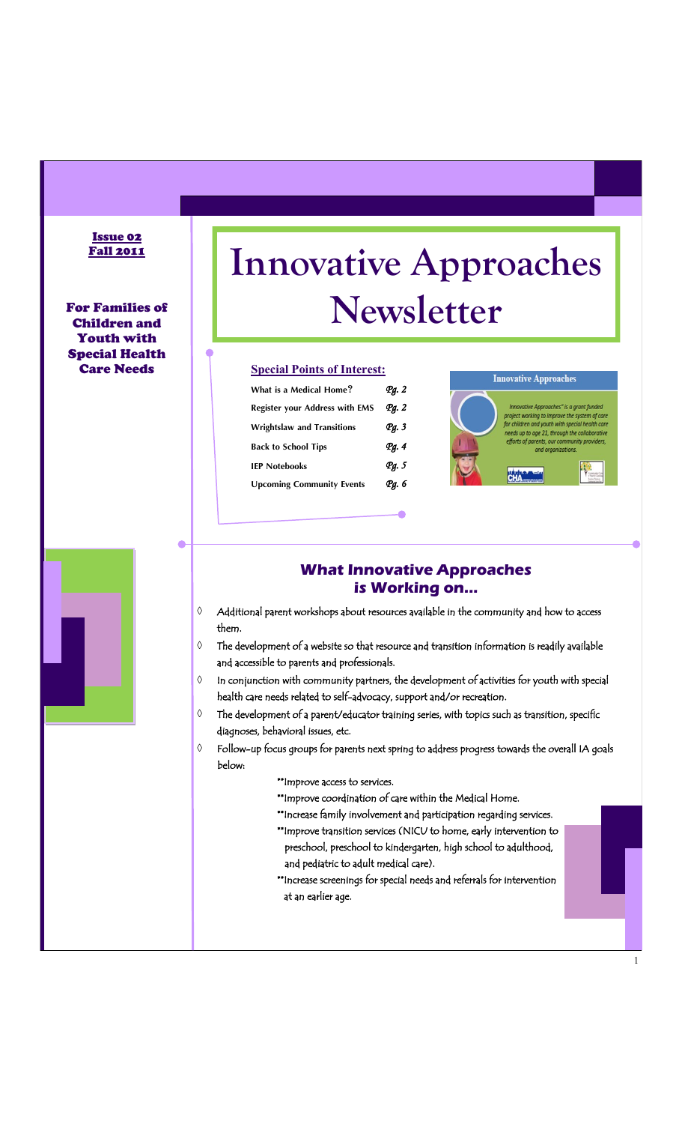#### Issue 02 Fall 2011

For Families of Children and Youth with Special Health Care Needs

# **Innovative Approaches Newsletter**

#### **Special Points of Interest:**

| What is a Medical Home?               | Pg. 2            |
|---------------------------------------|------------------|
| <b>Register your Address with EMS</b> | Pa. 2            |
| <b>Wrightslaw and Transitions</b>     | Рд. 3            |
| <b>Back to School Tips</b>            | Pq.4             |
| <b>IEP Notebooks</b>                  | q <sub>q.5</sub> |
| <b>Upcoming Community Events</b>      | Рд. 6            |



1

### **What Innovative Approaches is Working on...**

- $\Diamond$  Additional parent workshops about resources available in the community and how to access them.
- $\Diamond$  The development of a website so that resource and transition information is readily available and accessible to parents and professionals.
- $\Diamond$  In conjunction with community partners, the development of activities for youth with special health care needs related to self-advocacy, support and/or recreation.
- $\diamond$  The development of a parent/educator training series, with topics such as transition, specific diagnoses, behavioral issues, etc.
- $\Diamond$  Follow-up focus groups for parents next spring to address progress towards the overall IA goals below:
	- \*\*Improve access to services.
	- \*\*Improve coordination of care within the Medical Home.
	- \*\*Increase family involvement and participation regarding services.
	- \*\*Improve transition services (NICU to home, early intervention to preschool, preschool to kindergarten, high school to adulthood, and pediatric to adult medical care).
	- \*\*Increase screenings for special needs and referrals for intervention at an earlier age.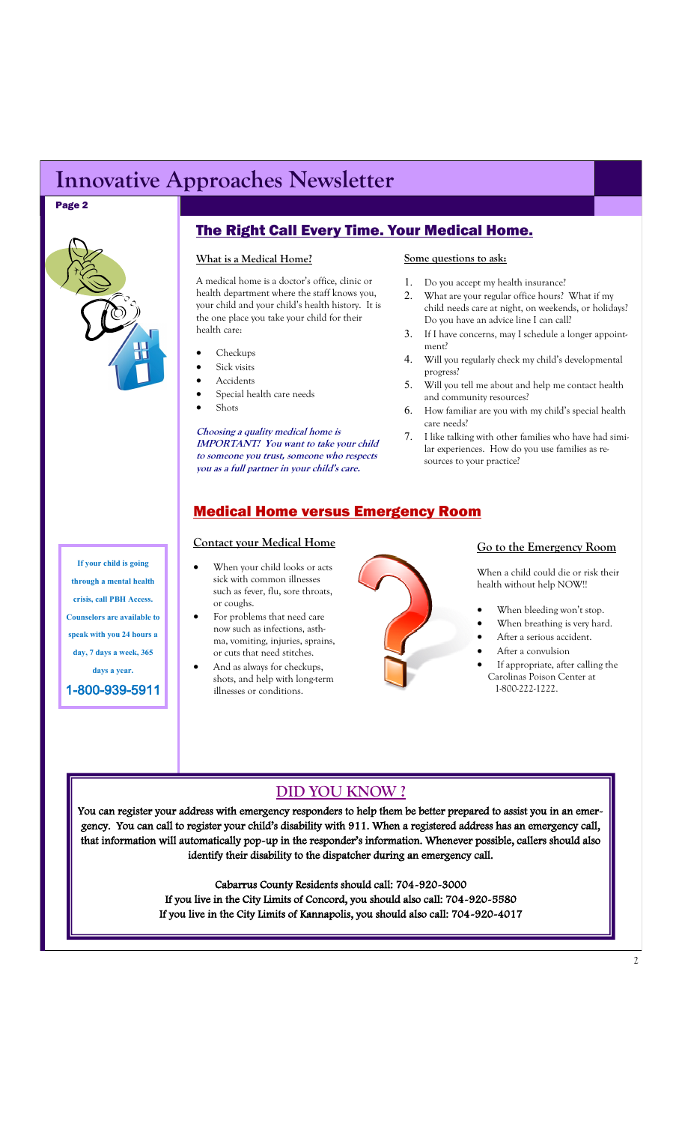# **Innovative Approaches Newsletter**

#### Page 2



## The Right Call Every Time. Your Medical Home.

#### **What is a Medical Home?**

A medical home is a doctor's office, clinic or health department where the staff knows you, your child and your child's health history. It is the one place you take your child for their health care:

- Checkups
- Sick visits
- Accidents
- Special health care needs
- Shots

**Choosing a quality medical home is IMPORTANT! You want to take your child to someone you trust, someone who respects you as a full partner in your child's care.** 

#### **Some questions to ask:**

- Do you accept my health insurance?
- What are your regular office hours? What if my child needs care at night, on weekends, or holidays? Do you have an advice line I can call?
- If I have concerns, may I schedule a longer appointment?
- Will you regularly check my child's developmental progress?
- Will you tell me about and help me contact health and community resources?
- How familiar are you with my child's special health care needs?
- 7. I like talking with other families who have had similar experiences. How do you use families as resources to your practice?

### Medical Home versus Emergency Room

#### **Contact your Medical Home**

- When your child looks or acts sick with common illnesses such as fever, flu, sore throats, or coughs.
- For problems that need care now such as infections, asthma, vomiting, injuries, sprains, or cuts that need stitches.
- And as always for checkups, shots, and help with long-term illnesses or conditions.



#### **Go to the Emergency Room**

When a child could die or risk their health without help NOW!!

- When bleeding won't stop.
- When breathing is very hard.
- After a serious accident.
- After a convulsion
- If appropriate, after calling the Carolinas Poison Center at 1-800-222-1222.

# **DID YOU KNOW ?**

You can register your address with emergency responders to help them be better prepared to assist you in an emergency. You can call to register your child's disability with 911. When a registered address has an emergency call, that information will automatically pop-up in the responder's information. Whenever possible, callers should also identify their disability to the dispatcher during an emergency call.

> Cabarrus County Residents should call: 704-920-3000 If you live in the City Limits of Concord, you should also call: 704-920-5580 If you live in the City Limits of Kannapolis, you should also call: 704-920-4017

**If your child is going through a mental health crisis, call PBH Access. Counselors are available to speak with you 24 hours a day, 7 days a week, 365 days a year.** 

1-800-939-5911

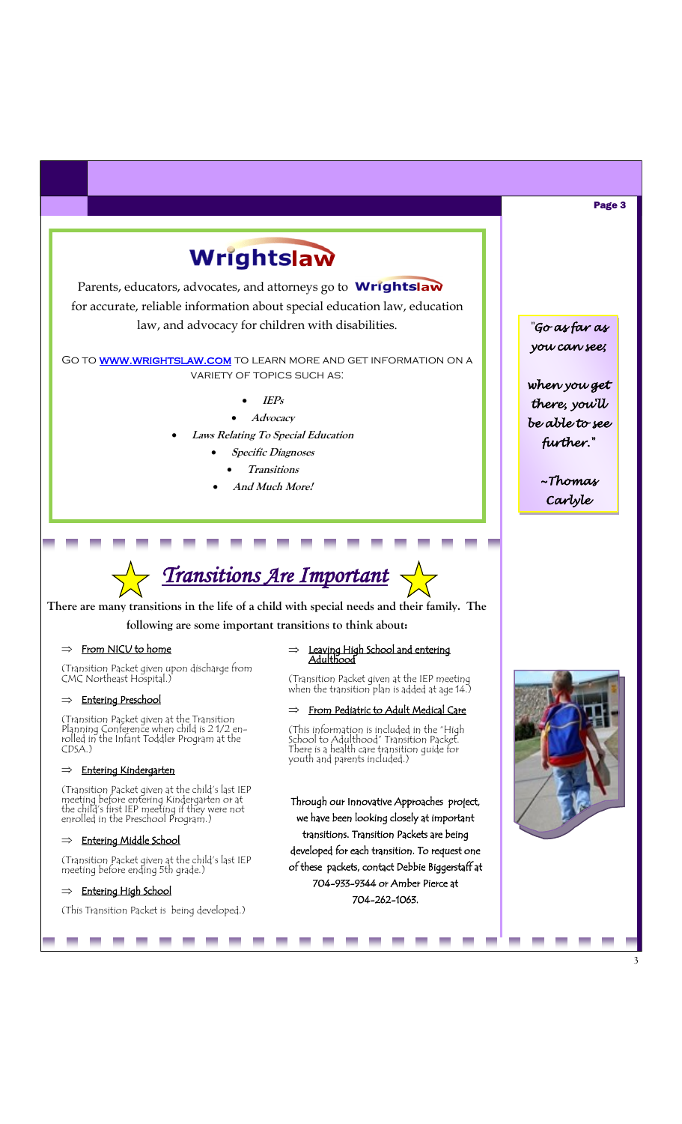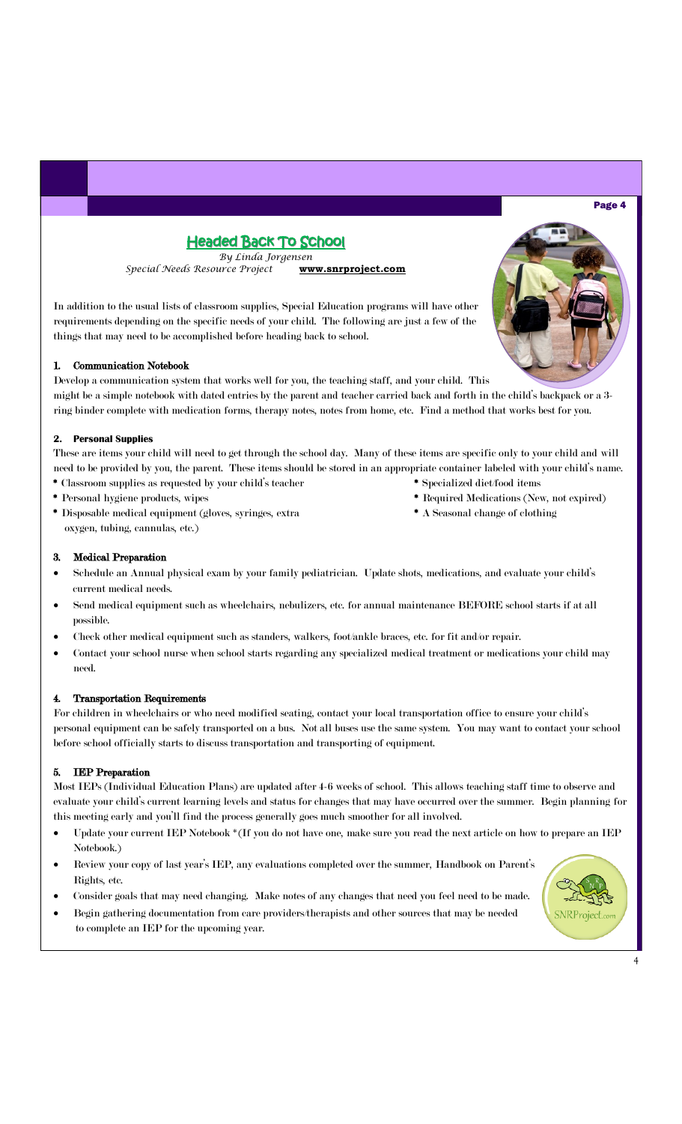#### Page 4

# Headed Back To School

*By Linda Jorgensen Special Needs Resource Project* **www.snrproject.com**

In addition to the usual lists of classroom supplies, Special Education programs will have other requirements depending on the specific needs of your child. The following are just a few of the things that may need to be accomplished before heading back to school.

#### 1. Communication Notebook

Develop a communication system that works well for you, the teaching staff, and your child. This might be a simple notebook with dated entries by the parent and teacher carried back and forth in the child's backpack or a 3 ring binder complete with medication forms, therapy notes, notes from home, etc. Find a method that works best for you.

#### **2. Personal Supplies**

These are items your child will need to get through the school day. Many of these items are specific only to your child and will need to be provided by you, the parent. These items should be stored in an appropriate container labeled with your child's name. \* Classroom supplies as requested by your child's teacher \* Specialized diet/food items

- 
- \* Disposable medical equipment (gloves, syringes, extra \* A Seasonal change of clothing oxygen, tubing, cannulas, etc.)
- 
- \* Personal hygiene products, wipes \* Required Medications (New, not expired)
	-

#### 3. Medical Preparation

- Schedule an Annual physical exam by your family pediatrician. Update shots, medications, and evaluate your child's current medical needs.
- Send medical equipment such as wheelchairs, nebulizers, etc. for annual maintenance BEFORE school starts if at all possible.
- Check other medical equipment such as standers, walkers, foot/ankle braces, etc. for fit and/or repair.
- Contact your school nurse when school starts regarding any specialized medical treatment or medications your child may need.

#### 4. Transportation Requirements

For children in wheelchairs or who need modified seating, contact your local transportation office to ensure your child's personal equipment can be safely transported on a bus. Not all buses use the same system. You may want to contact your school before school officially starts to discuss transportation and transporting of equipment.

#### 5. IEP Preparation

Most IEPs (Individual Education Plans) are updated after 4-6 weeks of school. This allows teaching staff time to observe and evaluate your child's current learning levels and status for changes that may have occurred over the summer. Begin planning for this meeting early and you'll find the process generally goes much smoother for all involved.

- Update your current IEP Notebook \*(If you do not have one, make sure you read the next article on how to prepare an IEP Notebook.)
- Review your copy of last year's IEP, any evaluations completed over the summer, Handbook on Parent's Rights, etc.
- Consider goals that may need changing. Make notes of any changes that need you feel need to be made.
- Begin gathering documentation from care providers/therapists and other sources that may be needed to complete an IEP for the upcoming year.



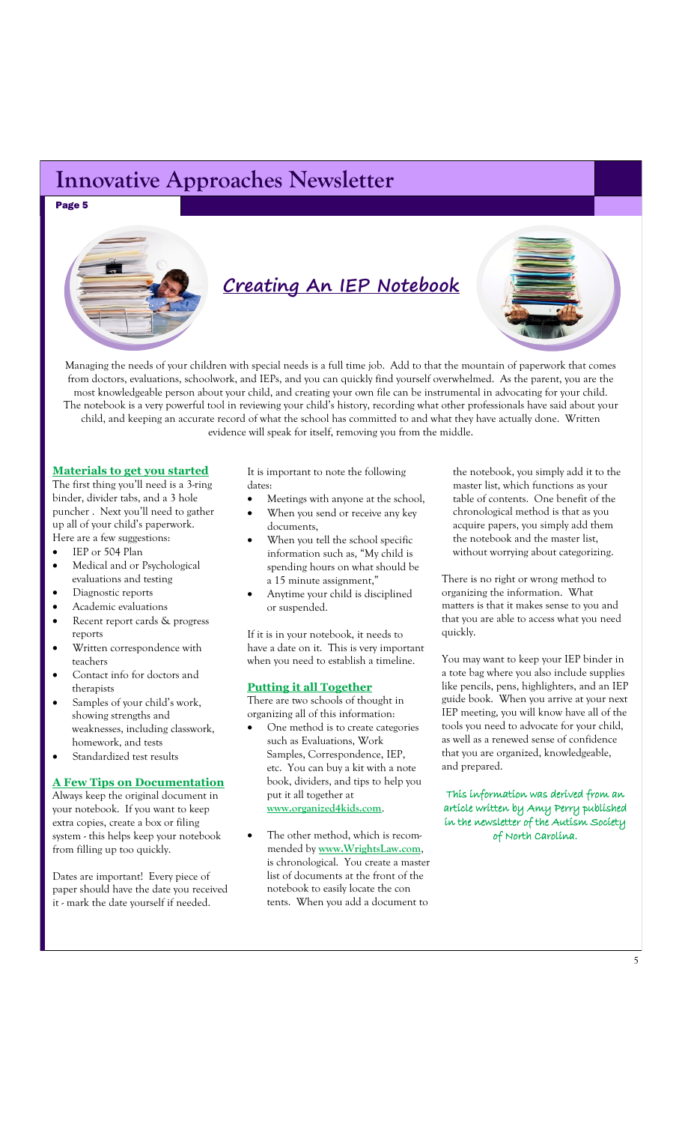# **Innovative Approaches Newsletter**

Page 5



Managing the needs of your children with special needs is a full time job. Add to that the mountain of paperwork that comes from doctors, evaluations, schoolwork, and IEPs, and you can quickly find yourself overwhelmed. As the parent, you are the most knowledgeable person about your child, and creating your own file can be instrumental in advocating for your child. The notebook is a very powerful tool in reviewing your child's history, recording what other professionals have said about your child, and keeping an accurate record of what the school has committed to and what they have actually done. Written evidence will speak for itself, removing you from the middle.

#### **Materials to get you started**

The first thing you'll need is a 3-ring binder, divider tabs, and a 3 hole puncher . Next you'll need to gather up all of your child's paperwork. Here are a few suggestions:

- IEP or 504 Plan
- Medical and or Psychological evaluations and testing
- Diagnostic reports
- Academic evaluations
- Recent report cards & progress reports
- Written correspondence with teachers
- Contact info for doctors and therapists
- Samples of your child's work, showing strengths and weaknesses, including classwork, homework, and tests
- Standardized test results

#### **A Few Tips on Documentation**

Always keep the original document in your notebook. If you want to keep extra copies, create a box or filing system - this helps keep your notebook from filling up too quickly.

Dates are important! Every piece of paper should have the date you received it - mark the date yourself if needed.

It is important to note the following dates:

- Meetings with anyone at the school,
- When you send or receive any key documents,
- When you tell the school specific information such as, "My child is spending hours on what should be a 15 minute assignment,"
- Anytime your child is disciplined or suspended.

If it is in your notebook, it needs to have a date on it. This is very important when you need to establish a timeline.

#### **Putting it all Together**

There are two schools of thought in organizing all of this information:

- One method is to create categories such as Evaluations, Work Samples, Correspondence, IEP, etc. You can buy a kit with a note book, dividers, and tips to help you put it all together at **www.organized4kids.com**.
- The other method, which is recommended by **www.WrightsLaw.com**, is chronological. You create a master list of documents at the front of the notebook to easily locate the con tents. When you add a document to

 the notebook, you simply add it to the master list, which functions as your table of contents. One benefit of the chronological method is that as you acquire papers, you simply add them the notebook and the master list, without worrying about categorizing.

There is no right or wrong method to organizing the information. What matters is that it makes sense to you and that you are able to access what you need quickly.

You may want to keep your IEP binder in a tote bag where you also include supplies like pencils, pens, highlighters, and an IEP guide book. When you arrive at your next IEP meeting, you will know have all of the tools you need to advocate for your child, as well as a renewed sense of confidence that you are organized, knowledgeable, and prepared.

This information was derived from an article written by Amy Perry published in the newsletter of the Autism Society of North Carolina.